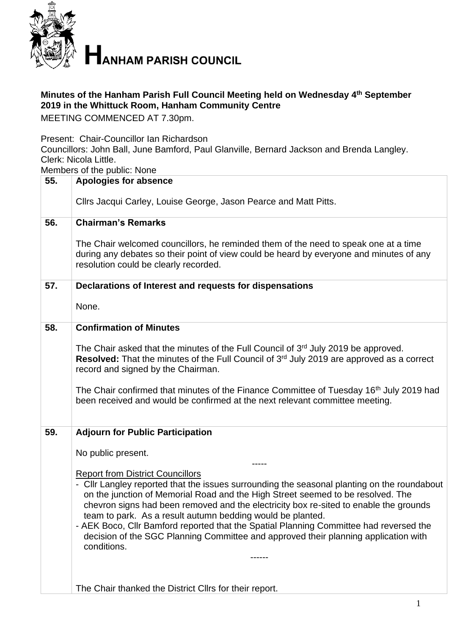

## **Minutes of the Hanham Parish Full Council Meeting held on Wednesday 4 th September 2019 in the Whittuck Room, Hanham Community Centre**

MEETING COMMENCED AT 7.30pm.

Present: Chair-Councillor Ian Richardson

Councillors: John Ball, June Bamford, Paul Glanville, Bernard Jackson and Brenda Langley. Clerk: Nicola Little.

Members of the public: None

|     | ואופווואפוס טו נוופ טמאווט. ואטוופ                                                                                                                                                                                                                                                                                                                                                                                                                                                                                                                                               |  |  |
|-----|----------------------------------------------------------------------------------------------------------------------------------------------------------------------------------------------------------------------------------------------------------------------------------------------------------------------------------------------------------------------------------------------------------------------------------------------------------------------------------------------------------------------------------------------------------------------------------|--|--|
| 55. | <b>Apologies for absence</b>                                                                                                                                                                                                                                                                                                                                                                                                                                                                                                                                                     |  |  |
|     | Cllrs Jacqui Carley, Louise George, Jason Pearce and Matt Pitts.                                                                                                                                                                                                                                                                                                                                                                                                                                                                                                                 |  |  |
| 56. | <b>Chairman's Remarks</b>                                                                                                                                                                                                                                                                                                                                                                                                                                                                                                                                                        |  |  |
|     | The Chair welcomed councillors, he reminded them of the need to speak one at a time<br>during any debates so their point of view could be heard by everyone and minutes of any<br>resolution could be clearly recorded.                                                                                                                                                                                                                                                                                                                                                          |  |  |
| 57. | Declarations of Interest and requests for dispensations                                                                                                                                                                                                                                                                                                                                                                                                                                                                                                                          |  |  |
|     | None.                                                                                                                                                                                                                                                                                                                                                                                                                                                                                                                                                                            |  |  |
| 58. | <b>Confirmation of Minutes</b>                                                                                                                                                                                                                                                                                                                                                                                                                                                                                                                                                   |  |  |
|     | The Chair asked that the minutes of the Full Council of 3 <sup>rd</sup> July 2019 be approved.<br><b>Resolved:</b> That the minutes of the Full Council of 3 <sup>rd</sup> July 2019 are approved as a correct<br>record and signed by the Chairman.<br>The Chair confirmed that minutes of the Finance Committee of Tuesday 16 <sup>th</sup> July 2019 had<br>been received and would be confirmed at the next relevant committee meeting.                                                                                                                                      |  |  |
| 59. | <b>Adjourn for Public Participation</b>                                                                                                                                                                                                                                                                                                                                                                                                                                                                                                                                          |  |  |
|     |                                                                                                                                                                                                                                                                                                                                                                                                                                                                                                                                                                                  |  |  |
|     | No public present.                                                                                                                                                                                                                                                                                                                                                                                                                                                                                                                                                               |  |  |
|     | <b>Report from District Councillors</b><br>- Cllr Langley reported that the issues surrounding the seasonal planting on the roundabout<br>on the junction of Memorial Road and the High Street seemed to be resolved. The<br>chevron signs had been removed and the electricity box re-sited to enable the grounds<br>team to park. As a result autumn bedding would be planted.<br>- AEK Boco, Cllr Bamford reported that the Spatial Planning Committee had reversed the<br>decision of the SGC Planning Committee and approved their planning application with<br>conditions. |  |  |
|     |                                                                                                                                                                                                                                                                                                                                                                                                                                                                                                                                                                                  |  |  |
|     | The Chair thanked the District Cllrs for their report.                                                                                                                                                                                                                                                                                                                                                                                                                                                                                                                           |  |  |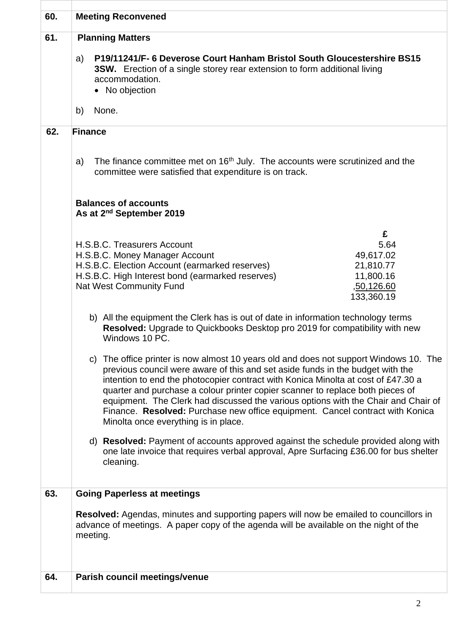| 60. | <b>Meeting Reconvened</b>                                                                                                                                                                                                                                                                                                                                                                                                                                                                                                                                     |                                                                              |
|-----|---------------------------------------------------------------------------------------------------------------------------------------------------------------------------------------------------------------------------------------------------------------------------------------------------------------------------------------------------------------------------------------------------------------------------------------------------------------------------------------------------------------------------------------------------------------|------------------------------------------------------------------------------|
| 61. | <b>Planning Matters</b><br>P19/11241/F- 6 Deverose Court Hanham Bristol South Gloucestershire BS15<br>a)<br><b>3SW.</b> Erection of a single storey rear extension to form additional living<br>accommodation.<br>• No objection<br>None.<br>b)                                                                                                                                                                                                                                                                                                               |                                                                              |
|     |                                                                                                                                                                                                                                                                                                                                                                                                                                                                                                                                                               |                                                                              |
| 62. | <b>Finance</b><br>The finance committee met on $16th$ July. The accounts were scrutinized and the<br>a)<br>committee were satisfied that expenditure is on track.                                                                                                                                                                                                                                                                                                                                                                                             |                                                                              |
|     | <b>Balances of accounts</b><br>As at 2 <sup>nd</sup> September 2019                                                                                                                                                                                                                                                                                                                                                                                                                                                                                           |                                                                              |
|     | H.S.B.C. Treasurers Account<br>H.S.B.C. Money Manager Account<br>H.S.B.C. Election Account (earmarked reserves)<br>H.S.B.C. High Interest bond (earmarked reserves)<br><b>Nat West Community Fund</b>                                                                                                                                                                                                                                                                                                                                                         | £<br>5.64<br>49,617.02<br>21,810.77<br>11,800.16<br>,50,126.60<br>133,360.19 |
|     | b) All the equipment the Clerk has is out of date in information technology terms<br><b>Resolved:</b> Upgrade to Quickbooks Desktop pro 2019 for compatibility with new<br>Windows 10 PC.                                                                                                                                                                                                                                                                                                                                                                     |                                                                              |
|     | c) The office printer is now almost 10 years old and does not support Windows 10. The<br>previous council were aware of this and set aside funds in the budget with the<br>intention to end the photocopier contract with Konica Minolta at cost of £47.30 a<br>quarter and purchase a colour printer copier scanner to replace both pieces of<br>equipment. The Clerk had discussed the various options with the Chair and Chair of<br>Finance. Resolved: Purchase new office equipment. Cancel contract with Konica<br>Minolta once everything is in place. |                                                                              |
|     | d) <b>Resolved:</b> Payment of accounts approved against the schedule provided along with<br>one late invoice that requires verbal approval, Apre Surfacing £36.00 for bus shelter<br>cleaning.                                                                                                                                                                                                                                                                                                                                                               |                                                                              |
| 63. | <b>Going Paperless at meetings</b>                                                                                                                                                                                                                                                                                                                                                                                                                                                                                                                            |                                                                              |
|     | <b>Resolved:</b> Agendas, minutes and supporting papers will now be emailed to councillors in<br>advance of meetings. A paper copy of the agenda will be available on the night of the<br>meeting.                                                                                                                                                                                                                                                                                                                                                            |                                                                              |
| 64. | Parish council meetings/venue                                                                                                                                                                                                                                                                                                                                                                                                                                                                                                                                 |                                                                              |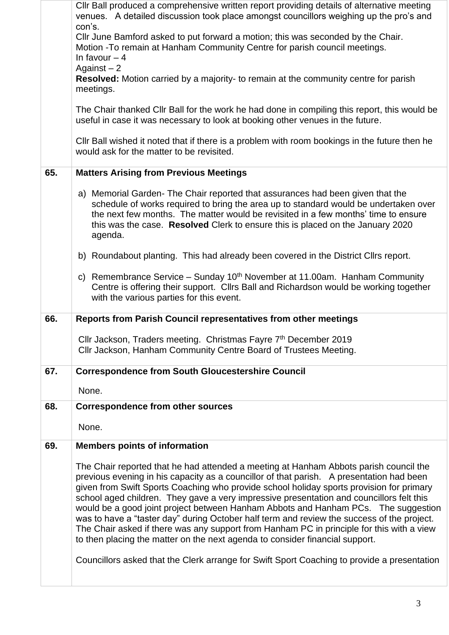|     | CIIr Ball produced a comprehensive written report providing details of alternative meeting<br>venues. A detailed discussion took place amongst councillors weighing up the pro's and<br>con's.<br>Cllr June Bamford asked to put forward a motion; this was seconded by the Chair.<br>Motion - To remain at Hanham Community Centre for parish council meetings.<br>In favour $-4$<br>Against $-2$<br><b>Resolved:</b> Motion carried by a majority- to remain at the community centre for parish<br>meetings.<br>The Chair thanked Cllr Ball for the work he had done in compiling this report, this would be<br>useful in case it was necessary to look at booking other venues in the future.<br>CIIr Ball wished it noted that if there is a problem with room bookings in the future then he<br>would ask for the matter to be revisited. |
|-----|------------------------------------------------------------------------------------------------------------------------------------------------------------------------------------------------------------------------------------------------------------------------------------------------------------------------------------------------------------------------------------------------------------------------------------------------------------------------------------------------------------------------------------------------------------------------------------------------------------------------------------------------------------------------------------------------------------------------------------------------------------------------------------------------------------------------------------------------|
| 65. | <b>Matters Arising from Previous Meetings</b>                                                                                                                                                                                                                                                                                                                                                                                                                                                                                                                                                                                                                                                                                                                                                                                                  |
|     | a) Memorial Garden-The Chair reported that assurances had been given that the<br>schedule of works required to bring the area up to standard would be undertaken over<br>the next few months. The matter would be revisited in a few months' time to ensure<br>this was the case. Resolved Clerk to ensure this is placed on the January 2020<br>agenda.                                                                                                                                                                                                                                                                                                                                                                                                                                                                                       |
|     | b) Roundabout planting. This had already been covered in the District Cllrs report.                                                                                                                                                                                                                                                                                                                                                                                                                                                                                                                                                                                                                                                                                                                                                            |
|     | c) Remembrance Service – Sunday $10^{th}$ November at 11.00am. Hanham Community<br>Centre is offering their support. Cllrs Ball and Richardson would be working together<br>with the various parties for this event.                                                                                                                                                                                                                                                                                                                                                                                                                                                                                                                                                                                                                           |
| 66. | Reports from Parish Council representatives from other meetings                                                                                                                                                                                                                                                                                                                                                                                                                                                                                                                                                                                                                                                                                                                                                                                |
|     | Cllr Jackson, Traders meeting. Christmas Fayre 7th December 2019<br>Cllr Jackson, Hanham Community Centre Board of Trustees Meeting.                                                                                                                                                                                                                                                                                                                                                                                                                                                                                                                                                                                                                                                                                                           |
| 67. | <b>Correspondence from South Gloucestershire Council</b>                                                                                                                                                                                                                                                                                                                                                                                                                                                                                                                                                                                                                                                                                                                                                                                       |
|     | None.                                                                                                                                                                                                                                                                                                                                                                                                                                                                                                                                                                                                                                                                                                                                                                                                                                          |
| 68. | <b>Correspondence from other sources</b>                                                                                                                                                                                                                                                                                                                                                                                                                                                                                                                                                                                                                                                                                                                                                                                                       |
|     | None.                                                                                                                                                                                                                                                                                                                                                                                                                                                                                                                                                                                                                                                                                                                                                                                                                                          |
| 69. | <b>Members points of information</b>                                                                                                                                                                                                                                                                                                                                                                                                                                                                                                                                                                                                                                                                                                                                                                                                           |
|     | The Chair reported that he had attended a meeting at Hanham Abbots parish council the<br>previous evening in his capacity as a councillor of that parish. A presentation had been<br>given from Swift Sports Coaching who provide school holiday sports provision for primary<br>school aged children. They gave a very impressive presentation and councillors felt this<br>would be a good joint project between Hanham Abbots and Hanham PCs. The suggestion<br>was to have a "taster day" during October half term and review the success of the project.<br>The Chair asked if there was any support from Hanham PC in principle for this with a view<br>to then placing the matter on the next agenda to consider financial support.<br>Councillors asked that the Clerk arrange for Swift Sport Coaching to provide a presentation      |
|     |                                                                                                                                                                                                                                                                                                                                                                                                                                                                                                                                                                                                                                                                                                                                                                                                                                                |